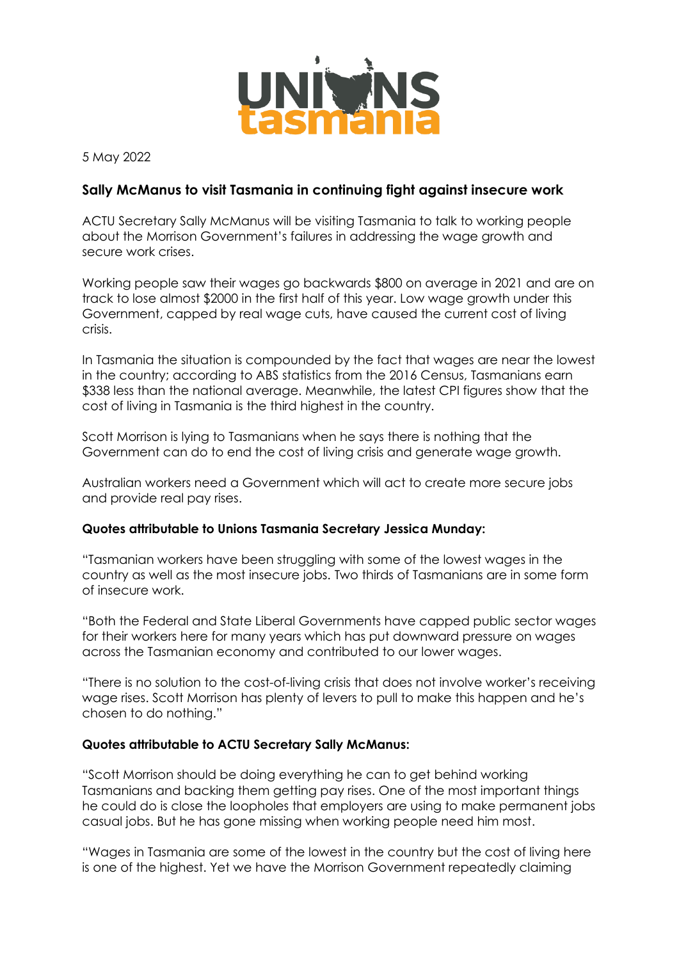

5 May 2022

## **Sally McManus to visit Tasmania in continuing fight against insecure work**

ACTU Secretary Sally McManus will be visiting Tasmania to talk to working people about the Morrison Government's failures in addressing the wage growth and secure work crises.

Working people saw their wages go backwards \$800 on average in 2021 and are on track to lose almost \$2000 in the first half of this year. Low wage growth under this Government, capped by real wage cuts, have caused the current cost of living crisis.

In Tasmania the situation is compounded by the fact that wages are near the lowest in the country; according to ABS statistics from the 2016 Census, Tasmanians earn \$338 less than the national average. Meanwhile, the latest CPI figures show that the cost of living in Tasmania is the third highest in the country.

Scott Morrison is lying to Tasmanians when he says there is nothing that the Government can do to end the cost of living crisis and generate wage growth.

Australian workers need a Government which will act to create more secure jobs and provide real pay rises.

## **Quotes attributable to Unions Tasmania Secretary Jessica Munday:**

"Tasmanian workers have been struggling with some of the lowest wages in the country as well as the most insecure jobs. Two thirds of Tasmanians are in some form of insecure work.

"Both the Federal and State Liberal Governments have capped public sector wages for their workers here for many years which has put downward pressure on wages across the Tasmanian economy and contributed to our lower wages.

"There is no solution to the cost-of-living crisis that does not involve worker's receiving wage rises. Scott Morrison has plenty of levers to pull to make this happen and he's chosen to do nothing."

## **Quotes attributable to ACTU Secretary Sally McManus:**

"Scott Morrison should be doing everything he can to get behind working Tasmanians and backing them getting pay rises. One of the most important things he could do is close the loopholes that employers are using to make permanent jobs casual jobs. But he has gone missing when working people need him most.

"Wages in Tasmania are some of the lowest in the country but the cost of living here is one of the highest. Yet we have the Morrison Government repeatedly claiming